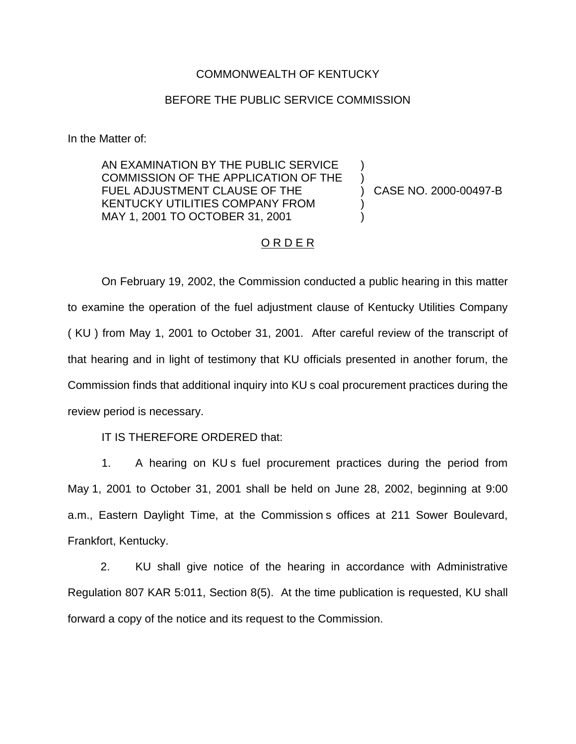#### COMMONWEALTH OF KENTUCKY

### BEFORE THE PUBLIC SERVICE COMMISSION

In the Matter of:

AN EXAMINATION BY THE PUBLIC SERVICE COMMISSION OF THE APPLICATION OF THE FUEL ADJUSTMENT CLAUSE OF THE KENTUCKY UTILITIES COMPANY FROM MAY 1, 2001 TO OCTOBER 31, 2001

) CASE NO. 2000-00497-B

) )

) )

## ORDER

On February 19, 2002, the Commission conducted a public hearing in this matter to examine the operation of the fuel adjustment clause of Kentucky Utilities Company ( KU ) from May 1, 2001 to October 31, 2001. After careful review of the transcript of that hearing and in light of testimony that KU officials presented in another forum, the Commission finds that additional inquiry into KU s coal procurement practices during the review period is necessary.

IT IS THEREFORE ORDERED that:

1. A hearing on KU s fuel procurement practices during the period from May 1, 2001 to October 31, 2001 shall be held on June 28, 2002, beginning at 9:00 a.m., Eastern Daylight Time, at the Commission s offices at 211 Sower Boulevard, Frankfort, Kentucky.

2. KU shall give notice of the hearing in accordance with Administrative Regulation 807 KAR 5:011, Section 8(5). At the time publication is requested, KU shall forward a copy of the notice and its request to the Commission.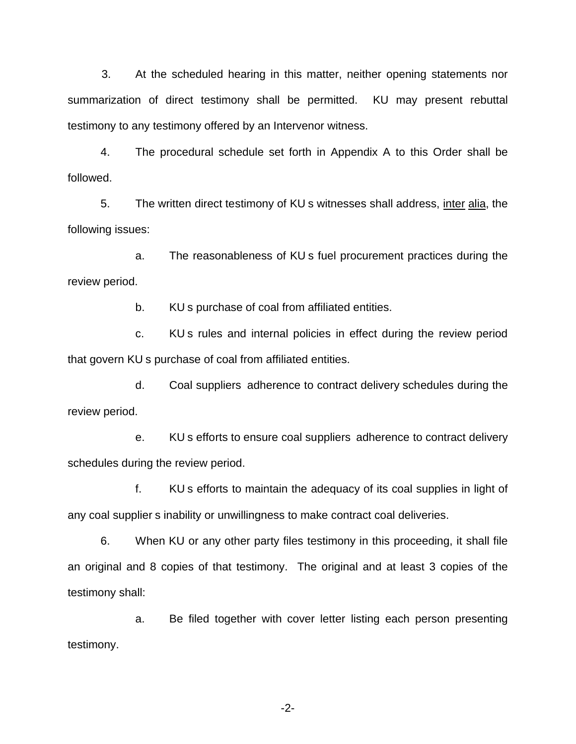3. At the scheduled hearing in this matter, neither opening statements nor summarization of direct testimony shall be permitted. KU may present rebuttal testimony to any testimony offered by an Intervenor witness.

4. The procedural schedule set forth in Appendix A to this Order shall be followed.

5. The written direct testimony of KU s witnesses shall address, inter alia, the following issues:

a. The reasonableness of KU s fuel procurement practices during the review period.

b. KU s purchase of coal from affiliated entities.

c. KU s rules and internal policies in effect during the review period that govern KU s purchase of coal from affiliated entities.

d. Coal suppliers adherence to contract delivery schedules during the review period.

e. KU s efforts to ensure coal suppliers adherence to contract delivery schedules during the review period.

f. KU s efforts to maintain the adequacy of its coal supplies in light of any coal supplier s inability or unwillingness to make contract coal deliveries.

6. When KU or any other party files testimony in this proceeding, it shall file an original and 8 copies of that testimony. The original and at least 3 copies of the testimony shall:

a. Be filed together with cover letter listing each person presenting testimony.

-2-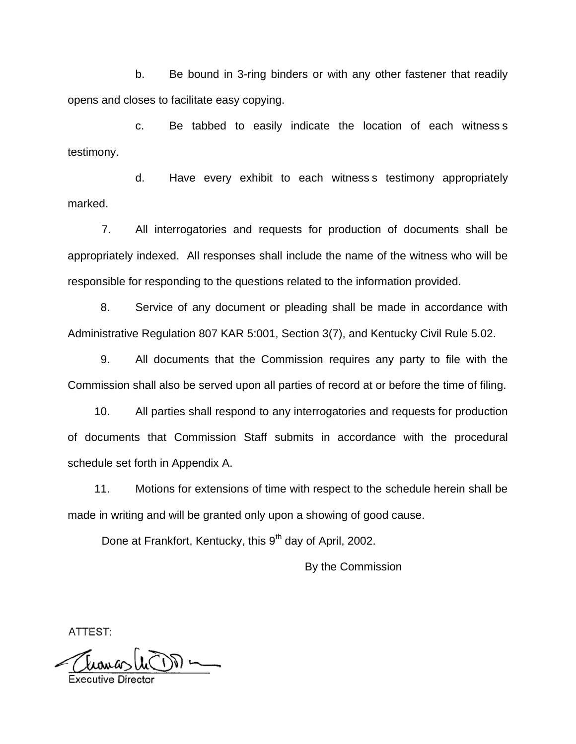b. Be bound in 3-ring binders or with any other fastener that readily opens and closes to facilitate easy copying.

c. Be tabbed to easily indicate the location of each witness s testimony.

d. Have every exhibit to each witness s testimony appropriately marked.

7. All interrogatories and requests for production of documents shall be appropriately indexed. All responses shall include the name of the witness who will be responsible for responding to the questions related to the information provided.

8. Service of any document or pleading shall be made in accordance with Administrative Regulation 807 KAR 5:001, Section 3(7), and Kentucky Civil Rule 5.02.

9. All documents that the Commission requires any party to file with the Commission shall also be served upon all parties of record at or before the time of filing.

10. All parties shall respond to any interrogatories and requests for production of documents that Commission Staff submits in accordance with the procedural schedule set forth in Appendix A.

11. Motions for extensions of time with respect to the schedule herein shall be made in writing and will be granted only upon a showing of good cause.

Done at Frankfort, Kentucky, this 9<sup>th</sup> day of April, 2002.

By the Commission

ATTEST: